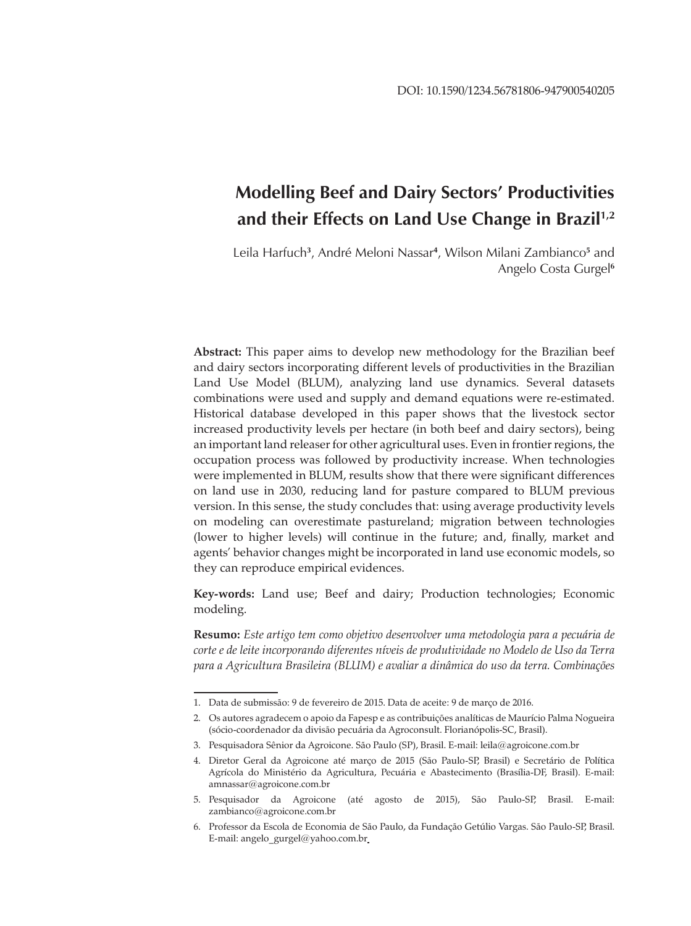# **Modelling Beef and Dairy Sectors' Productivities and their Effects on Land Use Change in Brazil1,2**

Leila Harfuch**<sup>3</sup>** , André Meloni Nassar**<sup>4</sup>** , Wilson Milani Zambianco**<sup>5</sup>** and Angelo Costa Gurgel**<sup>6</sup>**

**Abstract:** This paper aims to develop new methodology for the Brazilian beef and dairy sectors incorporating different levels of productivities in the Brazilian Land Use Model (BLUM), analyzing land use dynamics. Several datasets combinations were used and supply and demand equations were re-estimated. Historical database developed in this paper shows that the livestock sector increased productivity levels per hectare (in both beef and dairy sectors), being an important land releaser for other agricultural uses. Even in frontier regions, the occupation process was followed by productivity increase. When technologies were implemented in BLUM, results show that there were significant differences on land use in 2030, reducing land for pasture compared to BLUM previous version. In this sense, the study concludes that: using average productivity levels on modeling can overestimate pastureland; migration between technologies (lower to higher levels) will continue in the future; and, finally, market and agents' behavior changes might be incorporated in land use economic models, so they can reproduce empirical evidences.

**Key-words:** Land use; Beef and dairy; Production technologies; Economic modeling.

**Resumo:** *Este artigo tem como objetivo desenvolver uma metodologia para a pecuária de corte e de leite incorporando diferentes níveis de produtividade no Modelo de Uso da Terra para a Agricultura Brasileira (BLUM) e avaliar a dinâmica do uso da terra. Combinações* 

<sup>1.</sup> Data de submissão: 9 de fevereiro de 2015. Data de aceite: 9 de março de 2016.

<sup>2.</sup> Os autores agradecem o apoio da Fapesp e as contribuições analíticas de Maurício Palma Nogueira (sócio-coordenador da divisão pecuária da Agroconsult. Florianópolis-SC, Brasil).

<sup>3.</sup> Pesquisadora Sênior da Agroicone. São Paulo (SP), Brasil. E-mail: leila@agroicone.com.br

<sup>4.</sup> Diretor Geral da Agroicone até março de 2015 (São Paulo-SP, Brasil) e Secretário de Política Agrícola do Ministério da Agricultura, Pecuária e Abastecimento (Brasília-DF, Brasil). E-mail: amnassar@agroicone.com.br

<sup>5.</sup> Pesquisador da Agroicone (até agosto de 2015), São Paulo-SP, Brasil. E-mail: zambianco@agroicone.com.br

<sup>6.</sup> Professor da Escola de Economia de São Paulo, da Fundação Getúlio Vargas. São Paulo-SP, Brasil. E-mail: angelo\_gurgel@yahoo.com.br\_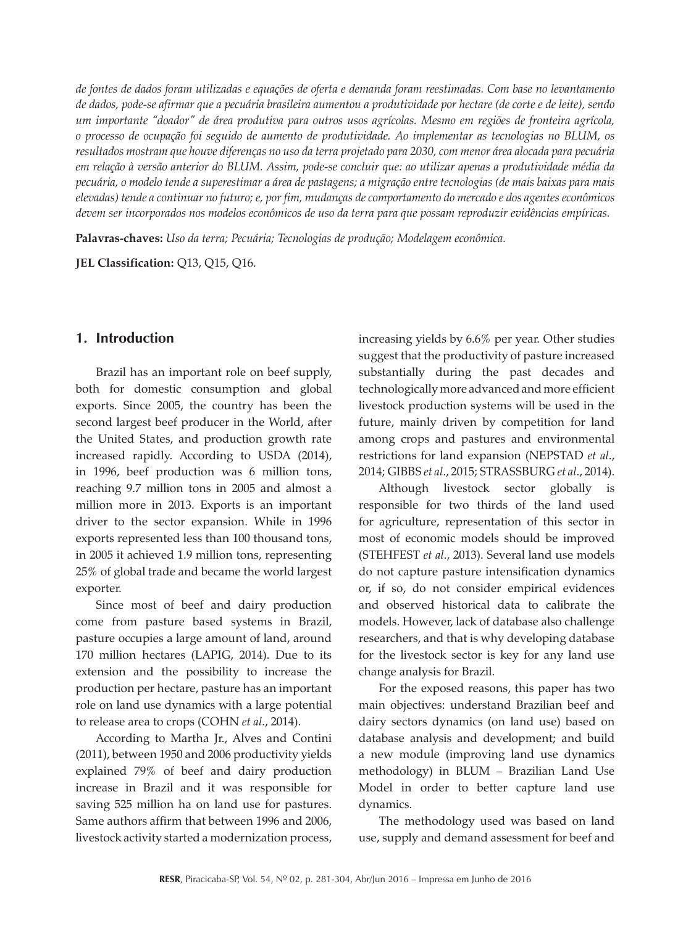*de fontes de dados foram utilizadas e equações de oferta e demanda foram reestimadas. Com base no levantamento de dados, pode-se afirmar que a pecuária brasileira aumentou a produtividade por hectare (de corte e de leite), sendo um importante "doador" de área produtiva para outros usos agrícolas. Mesmo em regiões de fronteira agrícola, o processo de ocupação foi seguido de aumento de produtividade. Ao implementar as tecnologias no BLUM, os resultados mostram que houve diferenças no uso da terra projetado para 2030, com menor área alocada para pecuária em relação à versão anterior do BLUM. Assim, pode-se concluir que: ao utilizar apenas a produtividade média da pecuária, o modelo tende a superestimar a área de pastagens; a migração entre tecnologias (de mais baixas para mais elevadas) tende a continuar no futuro; e, por fim, mudanças de comportamento do mercado e dos agentes econômicos devem ser incorporados nos modelos econômicos de uso da terra para que possam reproduzir evidências empíricas.*

**Palavras-chaves:** *Uso da terra; Pecuária; Tecnologias de produção; Modelagem econômica.*

**JEL Classification:** Q13, Q15, Q16.

### **1. Introduction**

Brazil has an important role on beef supply, both for domestic consumption and global exports. Since 2005, the country has been the second largest beef producer in the World, after the United States, and production growth rate increased rapidly. According to USDA (2014), in 1996, beef production was 6 million tons, reaching 9.7 million tons in 2005 and almost a million more in 2013. Exports is an important driver to the sector expansion. While in 1996 exports represented less than 100 thousand tons, in 2005 it achieved 1.9 million tons, representing 25% of global trade and became the world largest exporter.

Since most of beef and dairy production come from pasture based systems in Brazil, pasture occupies a large amount of land, around 170 million hectares (LAPIG, 2014). Due to its extension and the possibility to increase the production per hectare, pasture has an important role on land use dynamics with a large potential to release area to crops (COHN *et al*., 2014).

According to Martha Jr., Alves and Contini (2011), between 1950 and 2006 productivity yields explained 79% of beef and dairy production increase in Brazil and it was responsible for saving 525 million ha on land use for pastures. Same authors affirm that between 1996 and 2006, livestock activity started a modernization process,

increasing yields by 6.6% per year. Other studies suggest that the productivity of pasture increased substantially during the past decades and technologically more advanced and more efficient livestock production systems will be used in the future, mainly driven by competition for land among crops and pastures and environmental restrictions for land expansion (NEPSTAD *et al*., 2014; GIBBS *et al*., 2015; STRASSBURG *et al*., 2014).

Although livestock sector globally is responsible for two thirds of the land used for agriculture, representation of this sector in most of economic models should be improved (STEHFEST *et al*., 2013). Several land use models do not capture pasture intensification dynamics or, if so, do not consider empirical evidences and observed historical data to calibrate the models. However, lack of database also challenge researchers, and that is why developing database for the livestock sector is key for any land use change analysis for Brazil.

For the exposed reasons, this paper has two main objectives: understand Brazilian beef and dairy sectors dynamics (on land use) based on database analysis and development; and build a new module (improving land use dynamics methodology) in BLUM – Brazilian Land Use Model in order to better capture land use dynamics.

The methodology used was based on land use, supply and demand assessment for beef and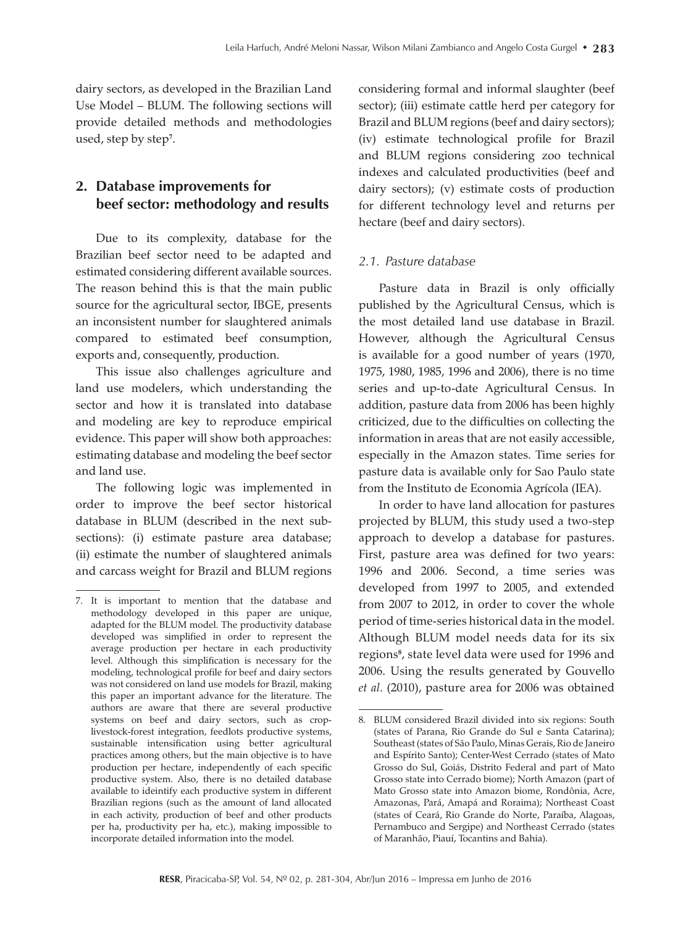dairy sectors, as developed in the Brazilian Land Use Model – BLUM. The following sections will provide detailed methods and methodologies used, step by step**<sup>7</sup>** .

# **2. Database improvements for beef sector: methodology and results**

Due to its complexity, database for the Brazilian beef sector need to be adapted and estimated considering different available sources. The reason behind this is that the main public source for the agricultural sector, IBGE, presents an inconsistent number for slaughtered animals compared to estimated beef consumption, exports and, consequently, production.

This issue also challenges agriculture and land use modelers, which understanding the sector and how it is translated into database and modeling are key to reproduce empirical evidence. This paper will show both approaches: estimating database and modeling the beef sector and land use.

The following logic was implemented in order to improve the beef sector historical database in BLUM (described in the next subsections): (i) estimate pasture area database; (ii) estimate the number of slaughtered animals and carcass weight for Brazil and BLUM regions

considering formal and informal slaughter (beef sector); (iii) estimate cattle herd per category for Brazil and BLUM regions (beef and dairy sectors); (iv) estimate technological profile for Brazil and BLUM regions considering zoo technical indexes and calculated productivities (beef and dairy sectors); (v) estimate costs of production for different technology level and returns per hectare (beef and dairy sectors).

### *2.1. Pasture database*

Pasture data in Brazil is only officially published by the Agricultural Census, which is the most detailed land use database in Brazil. However, although the Agricultural Census is available for a good number of years (1970, 1975, 1980, 1985, 1996 and 2006), there is no time series and up-to-date Agricultural Census. In addition, pasture data from 2006 has been highly criticized, due to the difficulties on collecting the information in areas that are not easily accessible, especially in the Amazon states. Time series for pasture data is available only for Sao Paulo state from the Instituto de Economia Agrícola (IEA).

In order to have land allocation for pastures projected by BLUM, this study used a two-step approach to develop a database for pastures. First, pasture area was defined for two years: 1996 and 2006. Second, a time series was developed from 1997 to 2005, and extended from 2007 to 2012, in order to cover the whole period of time-series historical data in the model. Although BLUM model needs data for its six regions**<sup>8</sup>** , state level data were used for 1996 and 2006. Using the results generated by Gouvello *et al*. (2010), pasture area for 2006 was obtained

<sup>7.</sup> It is important to mention that the database and methodology developed in this paper are unique, adapted for the BLUM model. The productivity database developed was simplified in order to represent the average production per hectare in each productivity level. Although this simplification is necessary for the modeling, technological profile for beef and dairy sectors was not considered on land use models for Brazil, making this paper an important advance for the literature. The authors are aware that there are several productive systems on beef and dairy sectors, such as croplivestock-forest integration, feedlots productive systems, sustainable intensification using better agricultural practices among others, but the main objective is to have production per hectare, independently of each specific productive system. Also, there is no detailed database available to ideintify each productive system in different Brazilian regions (such as the amount of land allocated in each activity, production of beef and other products per ha, productivity per ha, etc.), making impossible to incorporate detailed information into the model.

<sup>8.</sup> BLUM considered Brazil divided into six regions: South (states of Parana, Rio Grande do Sul e Santa Catarina); Southeast (states of São Paulo, Minas Gerais, Rio de Janeiro and Espírito Santo); Center-West Cerrado (states of Mato Grosso do Sul, Goiás, Distrito Federal and part of Mato Grosso state into Cerrado biome); North Amazon (part of Mato Grosso state into Amazon biome, Rondônia, Acre, Amazonas, Pará, Amapá and Roraima); Northeast Coast (states of Ceará, Rio Grande do Norte, Paraíba, Alagoas, Pernambuco and Sergipe) and Northeast Cerrado (states of Maranhão, Piauí, Tocantins and Bahia).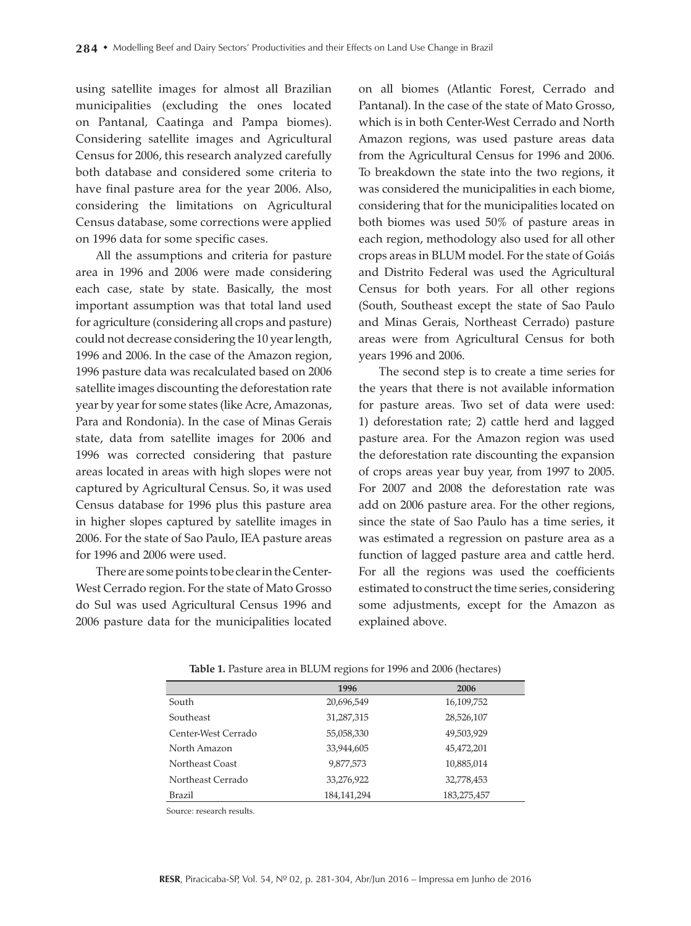using satellite images for almost all Brazilian municipalities (excluding the ones located on Pantanal, Caatinga and Pampa biomes). Considering satellite images and Agricultural Census for 2006, this research analyzed carefully both database and considered some criteria to have final pasture area for the year 2006. Also, considering the limitations on Agricultural Census database, some corrections were applied on 1996 data for some specific cases.

All the assumptions and criteria for pasture area in 1996 and 2006 were made considering each case, state by state. Basically, the most important assumption was that total land used for agriculture (considering all crops and pasture) could not decrease considering the 10 year length, 1996 and 2006. In the case of the Amazon region, 1996 pasture data was recalculated based on 2006 satellite images discounting the deforestation rate year by year for some states (like Acre, Amazonas, Para and Rondonia). In the case of Minas Gerais state, data from satellite images for 2006 and 1996 was corrected considering that pasture areas located in areas with high slopes were not captured by Agricultural Census. So, it was used Census database for 1996 plus this pasture area in higher slopes captured by satellite images in 2006. For the state of Sao Paulo, IEA pasture areas for 1996 and 2006 were used.

There are some points to be clear in the Center-West Cerrado region. For the state of Mato Grosso do Sul was used Agricultural Census 1996 and 2006 pasture data for the municipalities located on all biomes (Atlantic Forest, Cerrado and Pantanal). In the case of the state of Mato Grosso, which is in both Center-West Cerrado and North Amazon regions, was used pasture areas data from the Agricultural Census for 1996 and 2006. To breakdown the state into the two regions, it was considered the municipalities in each biome, considering that for the municipalities located on both biomes was used 50% of pasture areas in each region, methodology also used for all other crops areas in BLUM model. For the state of Goiás and Distrito Federal was used the Agricultural Census for both years. For all other regions (South, Southeast except the state of Sao Paulo and Minas Gerais, Northeast Cerrado) pasture areas were from Agricultural Census for both years 1996 and 2006.

The second step is to create a time series for the years that there is not available information for pasture areas. Two set of data were used: 1) deforestation rate; 2) cattle herd and lagged pasture area. For the Amazon region was used the deforestation rate discounting the expansion of crops areas year buy year, from 1997 to 2005. For 2007 and 2008 the deforestation rate was add on 2006 pasture area. For the other regions, since the state of Sao Paulo has a time series, it was estimated a regression on pasture area as a function of lagged pasture area and cattle herd. For all the regions was used the coefficients estimated to construct the time series, considering some adjustments, except for the Amazon as explained above.

|                     | 1996          | 2006        |
|---------------------|---------------|-------------|
| South               | 20,696,549    | 16,109,752  |
| Southeast           | 31,287,315    | 28,526,107  |
| Center-West Cerrado | 55,058,330    | 49,503,929  |
| North Amazon        | 33,944,605    | 45,472,201  |
| Northeast Coast     | 9,877,573     | 10,885,014  |
| Northeast Cerrado   | 33,276,922    | 32,778,453  |
| <b>Brazil</b>       | 184, 141, 294 | 183,275,457 |

**Table 1.** Pasture area in BLUM regions for 1996 and 2006 (hectares)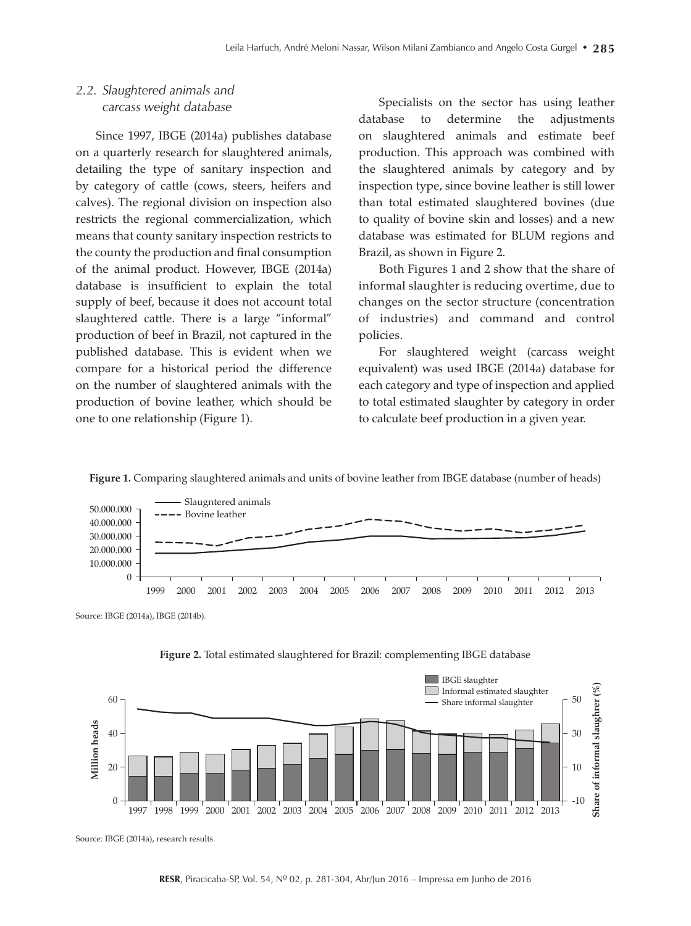### *2.2. Slaughtered animals and carcass weight database*

Since 1997, IBGE (2014a) publishes database on a quarterly research for slaughtered animals, detailing the type of sanitary inspection and by category of cattle (cows, steers, heifers and calves). The regional division on inspection also restricts the regional commercialization, which means that county sanitary inspection restricts to the county the production and final consumption of the animal product. However, IBGE (2014a) database is insufficient to explain the total supply of beef, because it does not account total slaughtered cattle. There is a large "informal" production of beef in Brazil, not captured in the published database. This is evident when we compare for a historical period the difference on the number of slaughtered animals with the production of bovine leather, which should be one to one relationship (Figure 1).

Specialists on the sector has using leather database to determine the adjustments on slaughtered animals and estimate beef production. This approach was combined with the slaughtered animals by category and by inspection type, since bovine leather is still lower than total estimated slaughtered bovines (due to quality of bovine skin and losses) and a new database was estimated for BLUM regions and Brazil, as shown in Figure 2.

Both Figures 1 and 2 show that the share of informal slaughter is reducing overtime, due to changes on the sector structure (concentration of industries) and command and control policies.

For slaughtered weight (carcass weight equivalent) was used IBGE (2014a) database for each category and type of inspection and applied to total estimated slaughter by category in order to calculate beef production in a given year.





Source: IBGE (2014a), IBGE (2014b).





Source: IBGE (2014a), research results.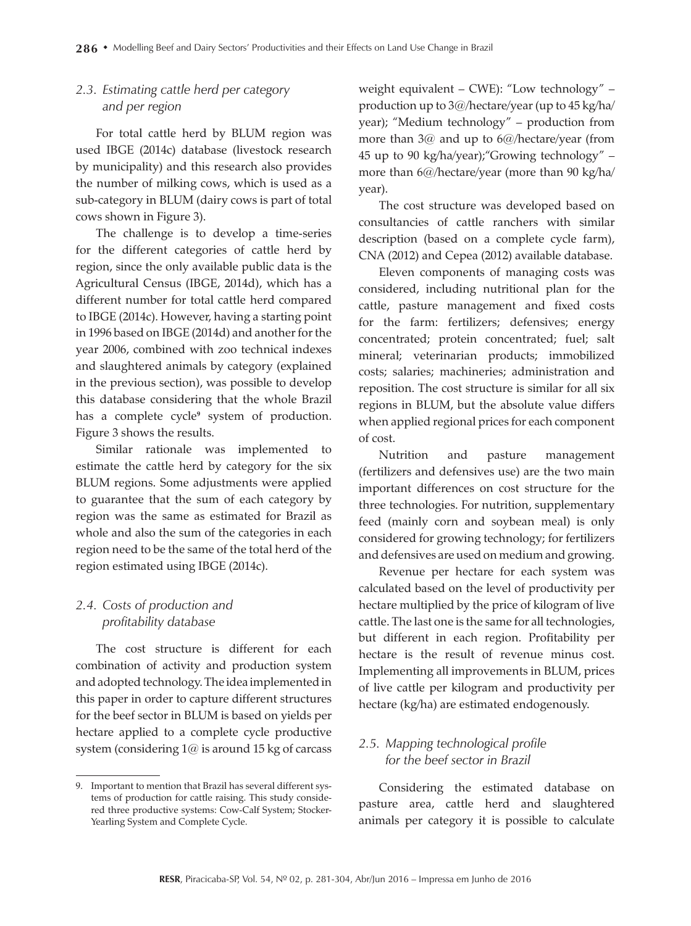## *2.3. Estimating cattle herd per category and per region*

For total cattle herd by BLUM region was used IBGE (2014c) database (livestock research by municipality) and this research also provides the number of milking cows, which is used as a sub-category in BLUM (dairy cows is part of total cows shown in Figure 3).

The challenge is to develop a time-series for the different categories of cattle herd by region, since the only available public data is the Agricultural Census (IBGE, 2014d), which has a different number for total cattle herd compared to IBGE (2014c). However, having a starting point in 1996 based on IBGE (2014d) and another for the year 2006, combined with zoo technical indexes and slaughtered animals by category (explained in the previous section), was possible to develop this database considering that the whole Brazil has a complete cycle<sup>9</sup> system of production. Figure 3 shows the results.

Similar rationale was implemented to estimate the cattle herd by category for the six BLUM regions. Some adjustments were applied to guarantee that the sum of each category by region was the same as estimated for Brazil as whole and also the sum of the categories in each region need to be the same of the total herd of the region estimated using IBGE (2014c).

# *2.4. Costs of production and profitability database*

The cost structure is different for each combination of activity and production system and adopted technology. The idea implemented in this paper in order to capture different structures for the beef sector in BLUM is based on yields per hectare applied to a complete cycle productive system (considering 1@ is around 15 kg of carcass weight equivalent – CWE): "Low technology" – production up to 3@/hectare/year (up to 45 kg/ha/ year); "Medium technology" – production from more than 3@ and up to 6@/hectare/year (from 45 up to 90 kg/ha/year);"Growing technology" – more than 6@/hectare/year (more than 90 kg/ha/ year).

The cost structure was developed based on consultancies of cattle ranchers with similar description (based on a complete cycle farm), CNA (2012) and Cepea (2012) available database.

Eleven components of managing costs was considered, including nutritional plan for the cattle, pasture management and fixed costs for the farm: fertilizers; defensives; energy concentrated; protein concentrated; fuel; salt mineral; veterinarian products; immobilized costs; salaries; machineries; administration and reposition. The cost structure is similar for all six regions in BLUM, but the absolute value differs when applied regional prices for each component of cost.

Nutrition and pasture management (fertilizers and defensives use) are the two main important differences on cost structure for the three technologies. For nutrition, supplementary feed (mainly corn and soybean meal) is only considered for growing technology; for fertilizers and defensives are used on medium and growing.

Revenue per hectare for each system was calculated based on the level of productivity per hectare multiplied by the price of kilogram of live cattle. The last one is the same for all technologies, but different in each region. Profitability per hectare is the result of revenue minus cost. Implementing all improvements in BLUM, prices of live cattle per kilogram and productivity per hectare (kg/ha) are estimated endogenously.

# *2.5. Mapping technological profile for the beef sector in Brazil*

Considering the estimated database on pasture area, cattle herd and slaughtered animals per category it is possible to calculate

<sup>9.</sup> Important to mention that Brazil has several different systems of production for cattle raising. This study considered three productive systems: Cow-Calf System; Stocker-Yearling System and Complete Cycle.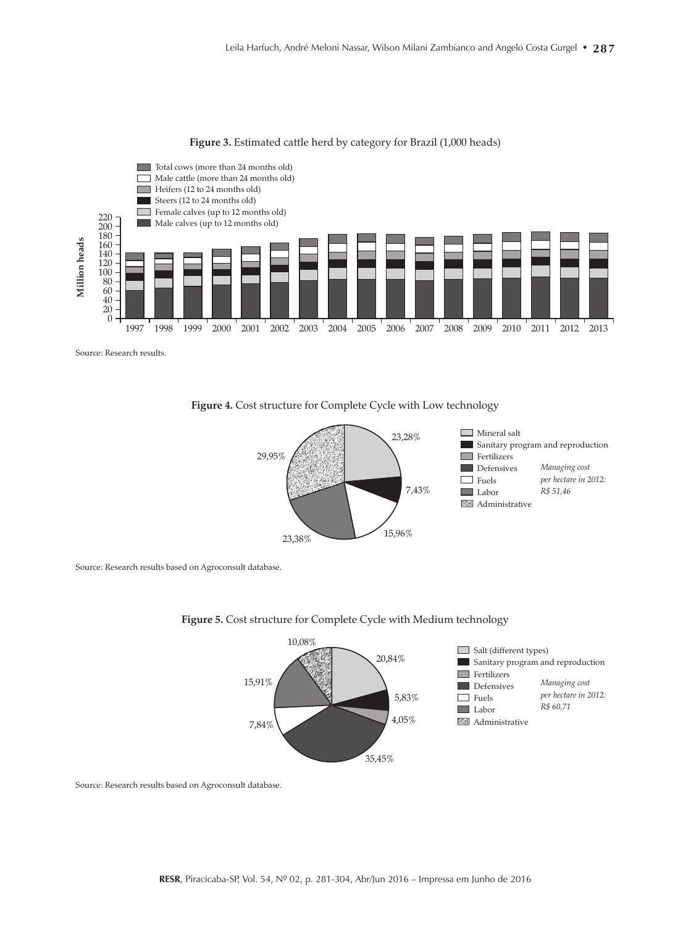

#### **Figure 3.** Estimated cattle herd by category for Brazil (1,000 heads)

#### **Figure 4.** Cost structure for Complete Cycle with Low technology



Source: Research results based on Agroconsult database.





Source: Research results based on Agroconsult database.

Source: Research results.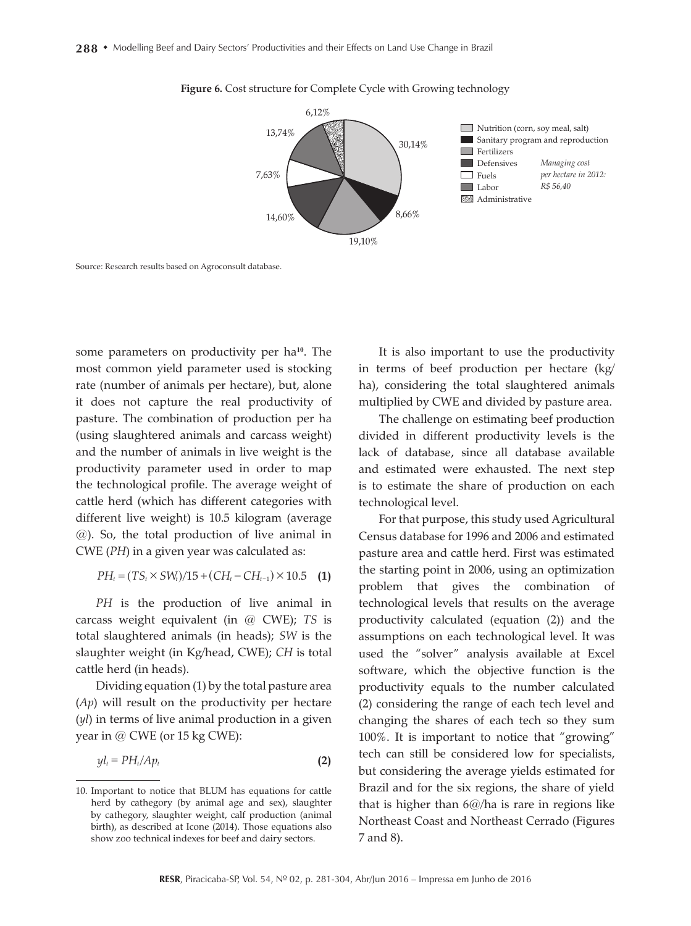

#### **Figure 6.** Cost structure for Complete Cycle with Growing technology

Source: Research results based on Agroconsult database.

some parameters on productivity per ha**10**. The most common yield parameter used is stocking rate (number of animals per hectare), but, alone it does not capture the real productivity of pasture. The combination of production per ha (using slaughtered animals and carcass weight) and the number of animals in live weight is the productivity parameter used in order to map the technological profile. The average weight of cattle herd (which has different categories with different live weight) is 10.5 kilogram (average @). So, the total production of live animal in CWE (*PH*) in a given year was calculated as:

$$
PH_t = (TS_t \times SW_t)/15 + (CH_t - CH_{t-1}) \times 10.5 \quad (1)
$$

*PH* is the production of live animal in carcass weight equivalent (in @ CWE); *TS* is total slaughtered animals (in heads); *SW* is the slaughter weight (in Kg/head, CWE); *CH* is total cattle herd (in heads).

Dividing equation (1) by the total pasture area (*Ap*) will result on the productivity per hectare (*yl*) in terms of live animal production in a given year in @ CWE (or 15 kg CWE):

$$
y l_t = PH_t / Ap_t \tag{2}
$$

It is also important to use the productivity in terms of beef production per hectare (kg/ ha), considering the total slaughtered animals multiplied by CWE and divided by pasture area.

The challenge on estimating beef production divided in different productivity levels is the lack of database, since all database available and estimated were exhausted. The next step is to estimate the share of production on each technological level.

For that purpose, this study used Agricultural Census database for 1996 and 2006 and estimated pasture area and cattle herd. First was estimated the starting point in 2006, using an optimization problem that gives the combination of technological levels that results on the average productivity calculated (equation (2)) and the assumptions on each technological level. It was used the "solver" analysis available at Excel software, which the objective function is the productivity equals to the number calculated (2) considering the range of each tech level and changing the shares of each tech so they sum 100%. It is important to notice that "growing" tech can still be considered low for specialists, but considering the average yields estimated for Brazil and for the six regions, the share of yield that is higher than 6@/ha is rare in regions like Northeast Coast and Northeast Cerrado (Figures 7 and 8).

<sup>10.</sup> Important to notice that BLUM has equations for cattle herd by cathegory (by animal age and sex), slaughter by cathegory, slaughter weight, calf production (animal birth), as described at Icone (2014). Those equations also show zoo technical indexes for beef and dairy sectors.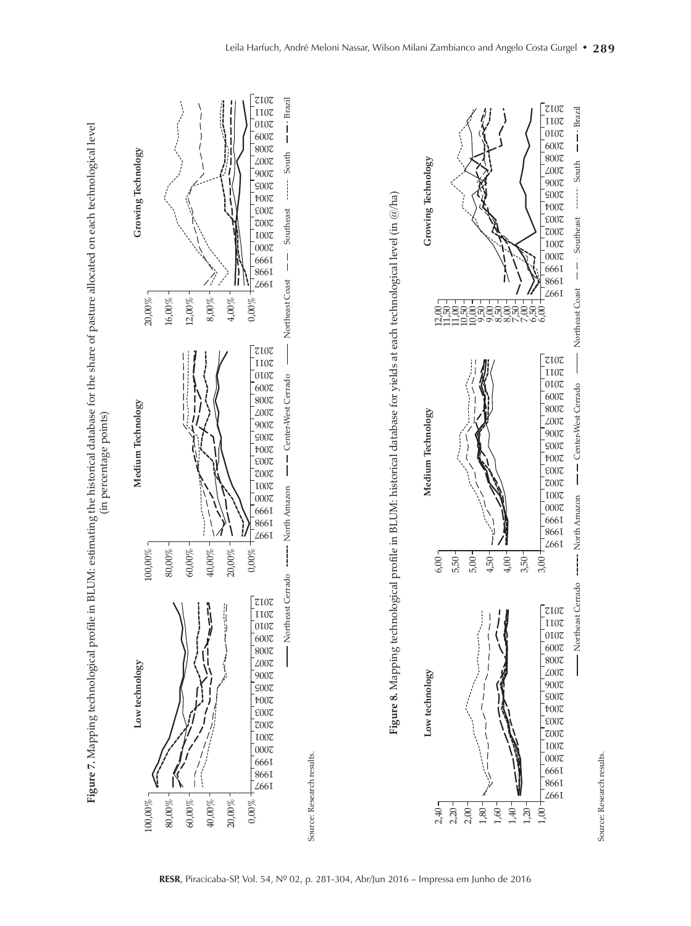



Source: Research results.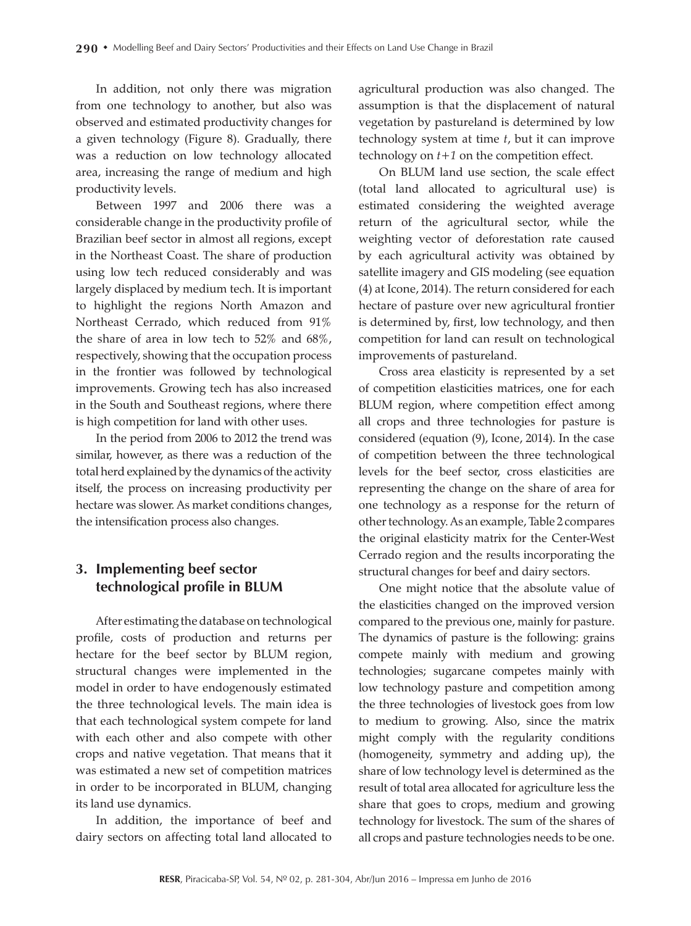In addition, not only there was migration from one technology to another, but also was observed and estimated productivity changes for a given technology (Figure 8). Gradually, there was a reduction on low technology allocated area, increasing the range of medium and high productivity levels.

Between 1997 and 2006 there was a considerable change in the productivity profile of Brazilian beef sector in almost all regions, except in the Northeast Coast. The share of production using low tech reduced considerably and was largely displaced by medium tech. It is important to highlight the regions North Amazon and Northeast Cerrado, which reduced from 91% the share of area in low tech to 52% and 68%, respectively, showing that the occupation process in the frontier was followed by technological improvements. Growing tech has also increased in the South and Southeast regions, where there is high competition for land with other uses.

In the period from 2006 to 2012 the trend was similar, however, as there was a reduction of the total herd explained by the dynamics of the activity itself, the process on increasing productivity per hectare was slower. As market conditions changes, the intensification process also changes.

# **3. Implementing beef sector technological profile in BLUM**

After estimating the database on technological profile, costs of production and returns per hectare for the beef sector by BLUM region, structural changes were implemented in the model in order to have endogenously estimated the three technological levels. The main idea is that each technological system compete for land with each other and also compete with other crops and native vegetation. That means that it was estimated a new set of competition matrices in order to be incorporated in BLUM, changing its land use dynamics.

In addition, the importance of beef and dairy sectors on affecting total land allocated to agricultural production was also changed. The assumption is that the displacement of natural vegetation by pastureland is determined by low technology system at time *t*, but it can improve technology on *t+1* on the competition effect.

On BLUM land use section, the scale effect (total land allocated to agricultural use) is estimated considering the weighted average return of the agricultural sector, while the weighting vector of deforestation rate caused by each agricultural activity was obtained by satellite imagery and GIS modeling (see equation (4) at Icone, 2014). The return considered for each hectare of pasture over new agricultural frontier is determined by, first, low technology, and then competition for land can result on technological improvements of pastureland.

Cross area elasticity is represented by a set of competition elasticities matrices, one for each BLUM region, where competition effect among all crops and three technologies for pasture is considered (equation (9), Icone, 2014). In the case of competition between the three technological levels for the beef sector, cross elasticities are representing the change on the share of area for one technology as a response for the return of other technology. As an example, Table 2 compares the original elasticity matrix for the Center-West Cerrado region and the results incorporating the structural changes for beef and dairy sectors.

One might notice that the absolute value of the elasticities changed on the improved version compared to the previous one, mainly for pasture. The dynamics of pasture is the following: grains compete mainly with medium and growing technologies; sugarcane competes mainly with low technology pasture and competition among the three technologies of livestock goes from low to medium to growing. Also, since the matrix might comply with the regularity conditions (homogeneity, symmetry and adding up), the share of low technology level is determined as the result of total area allocated for agriculture less the share that goes to crops, medium and growing technology for livestock. The sum of the shares of all crops and pasture technologies needs to be one.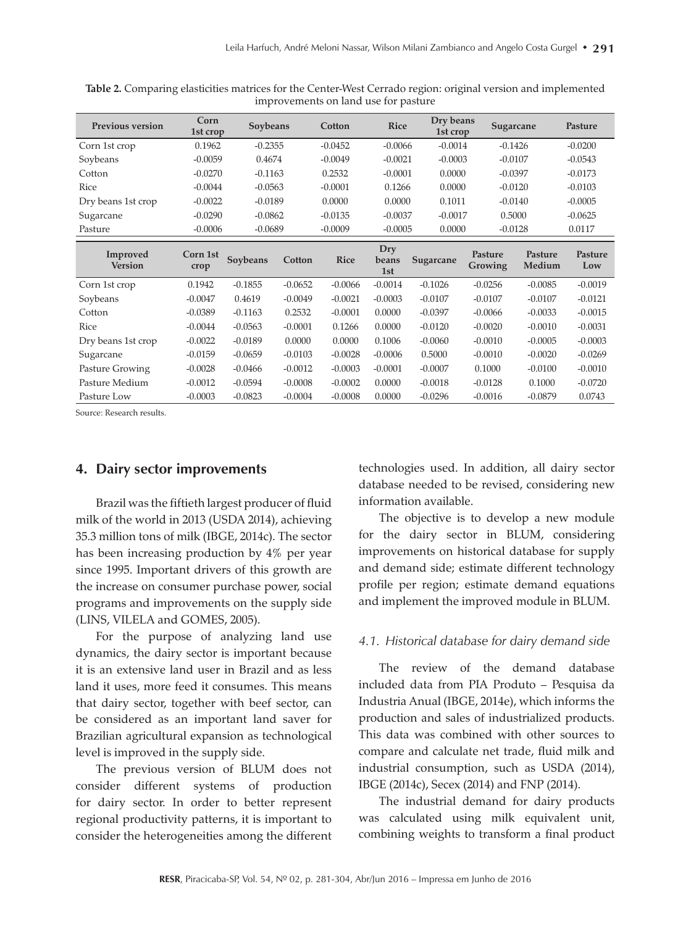| <b>Previous version</b>    | Corn<br>1st crop | Soybeans  |           | Cotton      | <b>Rice</b>         | Dry beans<br>1st crop | Sugarcane                 |                   | Pasture        |
|----------------------------|------------------|-----------|-----------|-------------|---------------------|-----------------------|---------------------------|-------------------|----------------|
| Corn 1st crop              | 0.1962           | $-0.2355$ |           | $-0.0452$   | $-0.0066$           | $-0.0014$             | $-0.1426$                 |                   | $-0.0200$      |
| Soybeans                   | $-0.0059$        | 0.4674    |           | $-0.0049$   | $-0.0021$           | $-0.0003$             | $-0.0107$                 |                   | $-0.0543$      |
| Cotton                     | $-0.0270$        | $-0.1163$ |           | 0.2532      | $-0.0001$           | 0.0000                | $-0.0397$                 |                   | $-0.0173$      |
| Rice                       | $-0.0044$        | $-0.0563$ |           | $-0.0001$   | 0.1266              | 0.0000                | $-0.0120$                 |                   | $-0.0103$      |
| Dry beans 1st crop         | $-0.0022$        | $-0.0189$ |           | 0.0000      | 0.0000              | 0.1011                | $-0.0140$                 |                   | $-0.0005$      |
| Sugarcane                  | $-0.0290$        | $-0.0862$ |           | $-0.0135$   | $-0.0037$           | $-0.0017$             | 0.5000                    |                   | $-0.0625$      |
| Pasture                    | $-0.0006$        | $-0.0689$ |           | $-0.0009$   | $-0.0005$           | 0.0000                | $-0.0128$                 |                   | 0.0117         |
| Improved<br><b>Version</b> | Corn 1st<br>crop | Soybeans  | Cotton    | <b>Rice</b> | Dry<br>beans<br>1st | Sugarcane             | Pasture<br><b>Growing</b> | Pasture<br>Medium | Pasture<br>Low |
| Corn 1st crop              | 0.1942           | $-0.1855$ | $-0.0652$ | $-0.0066$   | $-0.0014$           | $-0.1026$             | $-0.0256$                 | $-0.0085$         | $-0.0019$      |
| Soybeans                   | $-0.0047$        | 0.4619    | $-0.0049$ | $-0.0021$   | $-0.0003$           | $-0.0107$             | $-0.0107$                 | $-0.0107$         | $-0.0121$      |
| Cotton                     | $-0.0389$        | $-0.1163$ | 0.2532    | $-0.0001$   | 0.0000              | $-0.0397$             | $-0.0066$                 | $-0.0033$         | $-0.0015$      |
| Rice                       | $-0.0044$        | $-0.0563$ | $-0.0001$ | 0.1266      | 0.0000              | $-0.0120$             | $-0.0020$                 | $-0.0010$         | $-0.0031$      |
| Dry beans 1st crop         | $-0.0022$        | $-0.0189$ | 0.0000    | 0.0000      | 0.1006              | $-0.0060$             | $-0.0010$                 | $-0.0005$         | $-0.0003$      |
| Sugarcane                  | $-0.0159$        | $-0.0659$ | $-0.0103$ | $-0.0028$   | $-0.0006$           | 0.5000                | $-0.0010$                 | $-0.0020$         | $-0.0269$      |
| Pasture Growing            | $-0.0028$        | $-0.0466$ | $-0.0012$ | $-0.0003$   | $-0.0001$           | $-0.0007$             | 0.1000                    | $-0.0100$         | $-0.0010$      |
| Pasture Medium             | $-0.0012$        | $-0.0594$ | $-0.0008$ | $-0.0002$   | 0.0000              | $-0.0018$             | $-0.0128$                 | 0.1000            | $-0.0720$      |
| Pasture Low                | $-0.0003$        | $-0.0823$ | $-0.0004$ | $-0.0008$   | 0.0000              | $-0.0296$             | $-0.0016$                 | $-0.0879$         | 0.0743         |

**Table 2.** Comparing elasticities matrices for the Center-West Cerrado region: original version and implemented improvements on land use for pasture

Source: Research results.

### **4. Dairy sector improvements**

Brazil was the fiftieth largest producer of fluid milk of the world in 2013 (USDA 2014), achieving 35.3 million tons of milk (IBGE, 2014c). The sector has been increasing production by 4% per year since 1995. Important drivers of this growth are the increase on consumer purchase power, social programs and improvements on the supply side (LINS, VILELA and GOMES, 2005).

For the purpose of analyzing land use dynamics, the dairy sector is important because it is an extensive land user in Brazil and as less land it uses, more feed it consumes. This means that dairy sector, together with beef sector, can be considered as an important land saver for Brazilian agricultural expansion as technological level is improved in the supply side.

The previous version of BLUM does not consider different systems of production for dairy sector. In order to better represent regional productivity patterns, it is important to consider the heterogeneities among the different

technologies used. In addition, all dairy sector database needed to be revised, considering new information available.

The objective is to develop a new module for the dairy sector in BLUM, considering improvements on historical database for supply and demand side; estimate different technology profile per region; estimate demand equations and implement the improved module in BLUM.

#### *4.1. Historical database for dairy demand side*

The review of the demand database included data from PIA Produto – Pesquisa da Industria Anual (IBGE, 2014e), which informs the production and sales of industrialized products. This data was combined with other sources to compare and calculate net trade, fluid milk and industrial consumption, such as USDA (2014), IBGE (2014c), Secex (2014) and FNP (2014).

The industrial demand for dairy products was calculated using milk equivalent unit, combining weights to transform a final product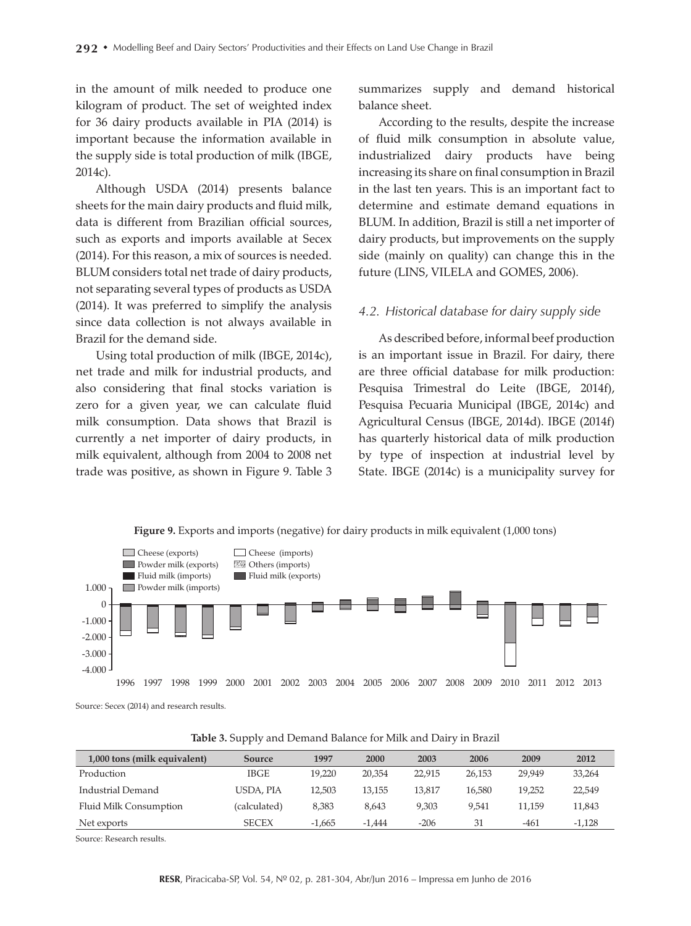in the amount of milk needed to produce one kilogram of product. The set of weighted index for 36 dairy products available in PIA (2014) is important because the information available in the supply side is total production of milk (IBGE, 2014c).

Although USDA (2014) presents balance sheets for the main dairy products and fluid milk, data is different from Brazilian official sources, such as exports and imports available at Secex (2014). For this reason, a mix of sources is needed. BLUM considers total net trade of dairy products, not separating several types of products as USDA (2014). It was preferred to simplify the analysis since data collection is not always available in Brazil for the demand side.

Using total production of milk (IBGE, 2014c), net trade and milk for industrial products, and also considering that final stocks variation is zero for a given year, we can calculate fluid milk consumption. Data shows that Brazil is currently a net importer of dairy products, in milk equivalent, although from 2004 to 2008 net trade was positive, as shown in Figure 9. Table 3

summarizes supply and demand historical balance sheet.

According to the results, despite the increase of fluid milk consumption in absolute value, industrialized dairy products have being increasing its share on final consumption in Brazil in the last ten years. This is an important fact to determine and estimate demand equations in BLUM. In addition, Brazil is still a net importer of dairy products, but improvements on the supply side (mainly on quality) can change this in the future (LINS, VILELA and GOMES, 2006).

#### *4.2. Historical database for dairy supply side*

As described before, informal beef production is an important issue in Brazil. For dairy, there are three official database for milk production: Pesquisa Trimestral do Leite (IBGE, 2014f), Pesquisa Pecuaria Municipal (IBGE, 2014c) and Agricultural Census (IBGE, 2014d). IBGE (2014f) has quarterly historical data of milk production by type of inspection at industrial level by State. IBGE (2014c) is a municipality survey for

**Figure 9.** Exports and imports (negative) for dairy products in milk equivalent (1,000 tons)



Source: Secex (2014) and research results.

| 1,000 tons (milk equivalent) | Source       | 1997     | 2000     | 2003   | 2006   | 2009   | 2012     |
|------------------------------|--------------|----------|----------|--------|--------|--------|----------|
| Production                   | <b>IBGE</b>  | 19,220   | 20.354   | 22.915 | 26.153 | 29.949 | 33.264   |
| Industrial Demand            | USDA, PIA    | 12.503   | 13.155   | 13.817 | 16.580 | 19,252 | 22,549   |
| Fluid Milk Consumption       | (calculated) | 8.383    | 8.643    | 9.303  | 9.541  | 11.159 | 11,843   |
| Net exports                  | <b>SECEX</b> | $-1.665$ | $-1.444$ | $-206$ | 31     | $-461$ | $-1,128$ |

**Table 3.** Supply and Demand Balance for Milk and Dairy in Brazil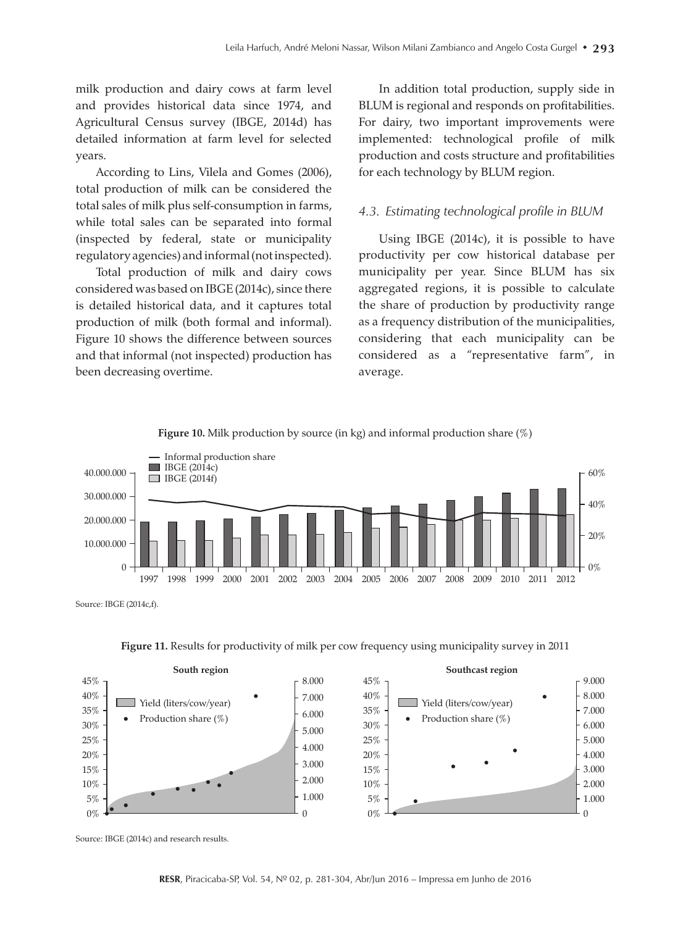milk production and dairy cows at farm level and provides historical data since 1974, and Agricultural Census survey (IBGE, 2014d) has detailed information at farm level for selected years.

According to Lins, Vilela and Gomes (2006), total production of milk can be considered the total sales of milk plus self-consumption in farms, while total sales can be separated into formal (inspected by federal, state or municipality regulatory agencies) and informal (not inspected).

Total production of milk and dairy cows considered was based on IBGE (2014c), since there is detailed historical data, and it captures total production of milk (both formal and informal). Figure 10 shows the difference between sources and that informal (not inspected) production has been decreasing overtime.

In addition total production, supply side in BLUM is regional and responds on profitabilities. For dairy, two important improvements were implemented: technological profile of milk production and costs structure and profitabilities for each technology by BLUM region.

#### *4.3. Estimating technological profile in BLUM*

Using IBGE (2014c), it is possible to have productivity per cow historical database per municipality per year. Since BLUM has six aggregated regions, it is possible to calculate the share of production by productivity range as a frequency distribution of the municipalities, considering that each municipality can be considered as a "representative farm", in average.



**Figure 10.** Milk production by source (in kg) and informal production share (%)

Source: IBGE (2014c,f).

**Figure 11.** Results for productivity of milk per cow frequency using municipality survey in 2011



Source: IBGE (2014c) and research results.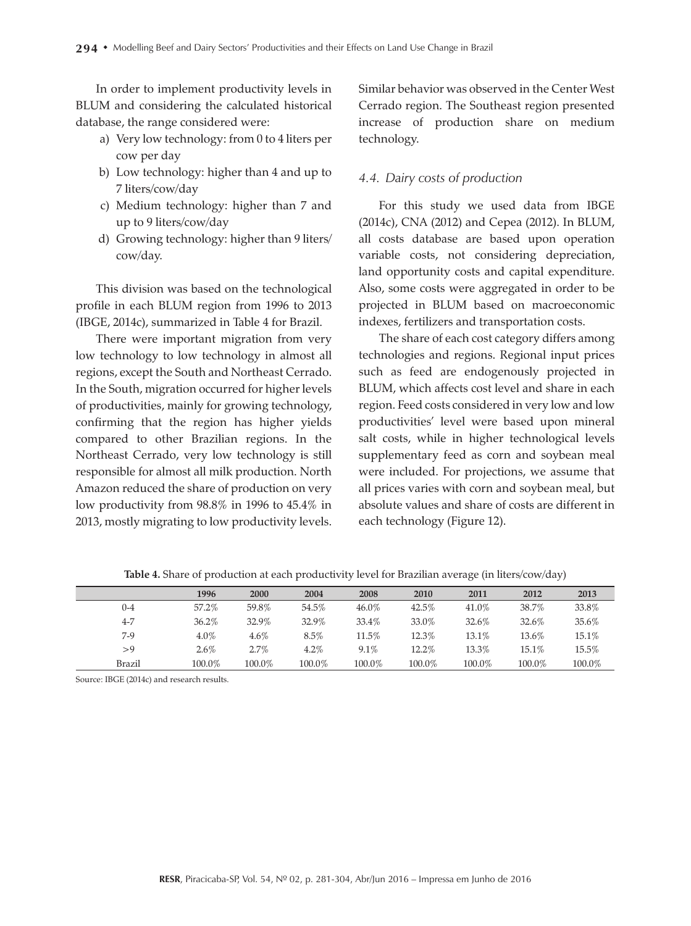In order to implement productivity levels in BLUM and considering the calculated historical database, the range considered were:

- a) Very low technology: from 0 to 4 liters per cow per day
- b) Low technology: higher than 4 and up to 7 liters/cow/day
- c) Medium technology: higher than 7 and up to 9 liters/cow/day
- d) Growing technology: higher than 9 liters/ cow/day.

This division was based on the technological profile in each BLUM region from 1996 to 2013 (IBGE, 2014c), summarized in Table 4 for Brazil.

There were important migration from very low technology to low technology in almost all regions, except the South and Northeast Cerrado. In the South, migration occurred for higher levels of productivities, mainly for growing technology, confirming that the region has higher yields compared to other Brazilian regions. In the Northeast Cerrado, very low technology is still responsible for almost all milk production. North Amazon reduced the share of production on very low productivity from 98.8% in 1996 to 45.4% in 2013, mostly migrating to low productivity levels.

Similar behavior was observed in the Center West Cerrado region. The Southeast region presented increase of production share on medium technology.

#### *4.4. Dairy costs of production*

For this study we used data from IBGE (2014c), CNA (2012) and Cepea (2012). In BLUM, all costs database are based upon operation variable costs, not considering depreciation, land opportunity costs and capital expenditure. Also, some costs were aggregated in order to be projected in BLUM based on macroeconomic indexes, fertilizers and transportation costs.

The share of each cost category differs among technologies and regions. Regional input prices such as feed are endogenously projected in BLUM, which affects cost level and share in each region. Feed costs considered in very low and low productivities' level were based upon mineral salt costs, while in higher technological levels supplementary feed as corn and soybean meal were included. For projections, we assume that all prices varies with corn and soybean meal, but absolute values and share of costs are different in each technology (Figure 12).

|               | 1996    | 2000   | 2004   | 2008   | 2010   | 2011   | 2012   | 2013   |
|---------------|---------|--------|--------|--------|--------|--------|--------|--------|
| $0 - 4$       | 57.2%   | 59.8%  | 54.5%  | 46.0%  | 42.5%  | 41.0%  | 38.7%  | 33.8%  |
| $4 - 7$       | 36.2%   | 32.9%  | 32.9%  | 33.4%  | 33.0%  | 32.6%  | 32.6%  | 35.6%  |
| $7-9$         | 4.0%    | 4.6%   | 8.5%   | 11.5%  | 12.3%  | 13.1%  | 13.6%  | 15.1%  |
| >9            | $2.6\%$ | 2.7%   | 4.2%   | 9.1%   | 12.2%  | 13.3%  | 15.1%  | 15.5%  |
| <b>Brazil</b> | 100.0%  | 100.0% | 100.0% | 100.0% | 100.0% | 100.0% | 100.0% | 100.0% |

**Table 4.** Share of production at each productivity level for Brazilian average (in liters/cow/day)

Source: IBGE (2014c) and research results.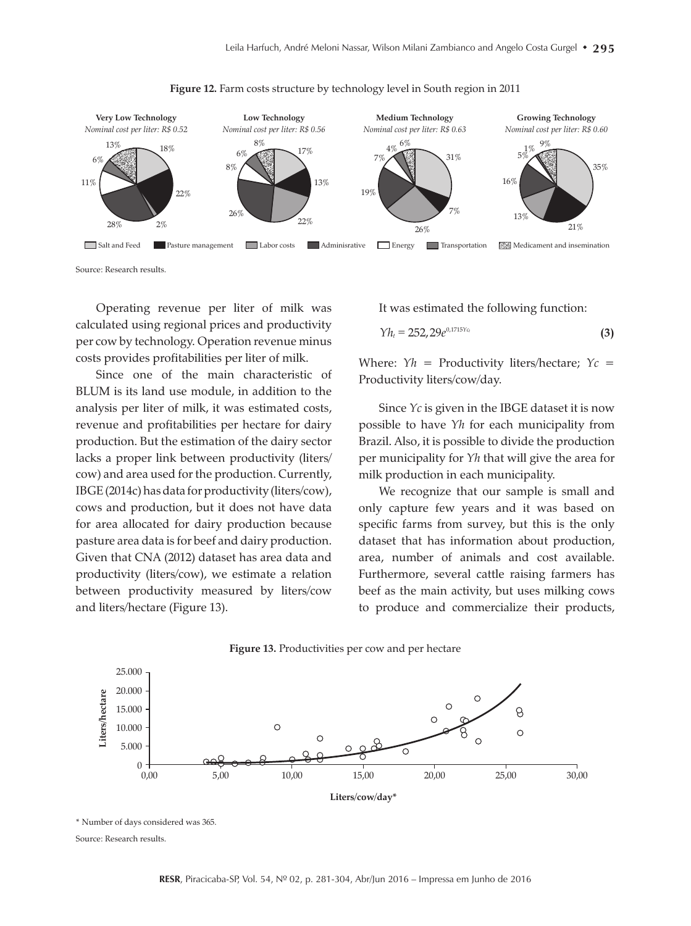



Source: Research results.

Operating revenue per liter of milk was calculated using regional prices and productivity per cow by technology. Operation revenue minus costs provides profitabilities per liter of milk.

Since one of the main characteristic of BLUM is its land use module, in addition to the analysis per liter of milk, it was estimated costs, revenue and profitabilities per hectare for dairy production. But the estimation of the dairy sector lacks a proper link between productivity (liters/ cow) and area used for the production. Currently, IBGE (2014c) has data for productivity (liters/cow), cows and production, but it does not have data for area allocated for dairy production because pasture area data is for beef and dairy production. Given that CNA (2012) dataset has area data and productivity (liters/cow), we estimate a relation between productivity measured by liters/cow and liters/hectare (Figure 13).

It was estimated the following function:

$$
\gamma_{h_t} = 252, 29e^{0.1715Y_{c_t}} \tag{3}
$$

Where: *Yh =* Productivity liters/hectare; *Yc* = Productivity liters/cow/day.

Since *Yc* is given in the IBGE dataset it is now possible to have *Yh* for each municipality from Brazil. Also, it is possible to divide the production per municipality for *Yh* that will give the area for milk production in each municipality.

We recognize that our sample is small and only capture few years and it was based on specific farms from survey, but this is the only dataset that has information about production, area, number of animals and cost available. Furthermore, several cattle raising farmers has beef as the main activity, but uses milking cows to produce and commercialize their products,



**Figure 13.** Productivities per cow and per hectare

\* Number of days considered was 365. Source: Research results.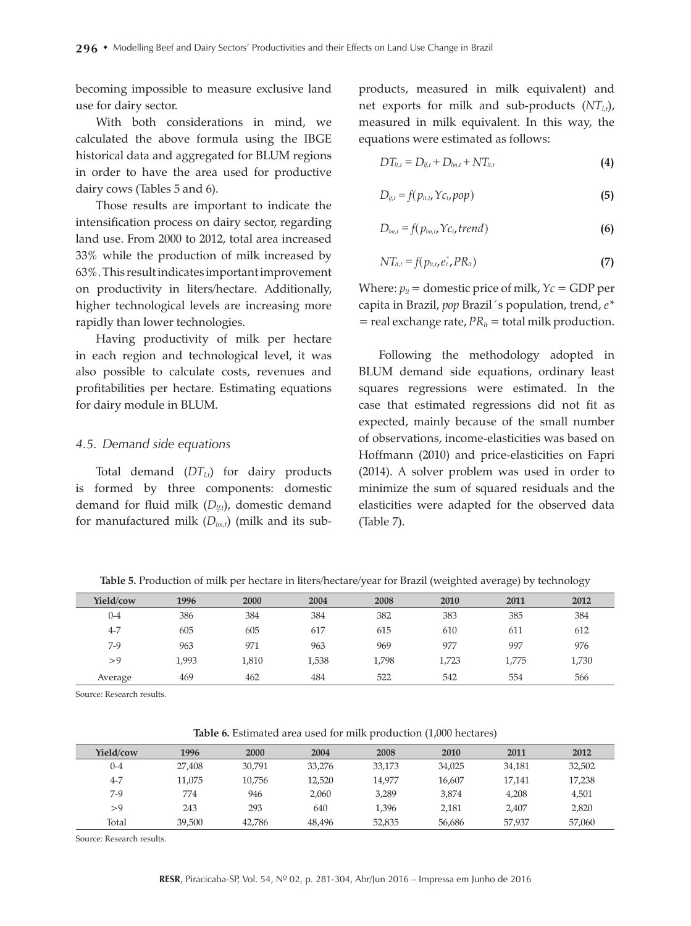becoming impossible to measure exclusive land use for dairy sector.

With both considerations in mind, we calculated the above formula using the IBGE historical data and aggregated for BLUM regions in order to have the area used for productive dairy cows (Tables 5 and 6).

Those results are important to indicate the intensification process on dairy sector, regarding land use. From 2000 to 2012, total area increased 33% while the production of milk increased by 63%. This result indicates important improvement on productivity in liters/hectare. Additionally, higher technological levels are increasing more rapidly than lower technologies.

Having productivity of milk per hectare in each region and technological level, it was also possible to calculate costs, revenues and profitabilities per hectare. Estimating equations for dairy module in BLUM.

#### *4.5. Demand side equations*

Total demand  $(DT_{l,t})$  for dairy products is formed by three components: domestic demand for fluid milk ( $D_{tt}$ ), domestic demand for manufactured milk  $(D_{lm,t})$  (milk and its subproducts, measured in milk equivalent) and net exports for milk and sub-products  $(NT_{tt})$ , measured in milk equivalent. In this way, the equations were estimated as follows:

$$
DT_{lt,t} = D_{lt,t} + D_{lm,t} + NT_{lt,t}
$$
\n(4)

$$
D_{ij,t} = f(p_{it,t}, Y_{c_t}, pop)
$$
\n(5)

$$
D_{lm,t} = f(p_{lm,t}, Yc_{t}, trend)
$$
 (6)

$$
NT_{lt,t} = f(p_{lt,t}, e_t^*, PR_{lt})
$$
\n(7)

Where:  $p_{lt}$  = domestic price of milk,  $Y_c$  = GDP per capita in Brazil, *pop* Brazil´s population, trend, *e\**   $=$  real exchange rate,  $PR_{lt} =$  total milk production.

Following the methodology adopted in BLUM demand side equations, ordinary least squares regressions were estimated. In the case that estimated regressions did not fit as expected, mainly because of the small number of observations, income-elasticities was based on Hoffmann (2010) and price-elasticities on Fapri (2014). A solver problem was used in order to minimize the sum of squared residuals and the elasticities were adapted for the observed data (Table 7).

**Table 5.** Production of milk per hectare in liters/hectare/year for Brazil (weighted average) by technology

| Yield/cow | 1996  | 2000  | 2004  | 2008  | 2010  | 2011  | 2012  |
|-----------|-------|-------|-------|-------|-------|-------|-------|
| $0 - 4$   | 386   | 384   | 384   | 382   | 383   | 385   | 384   |
| $4 - 7$   | 605   | 605   | 617   | 615   | 610   | 611   | 612   |
| $7-9$     | 963   | 971   | 963   | 969   | 977   | 997   | 976   |
| >9        | 1.993 | 1,810 | 1,538 | 1,798 | 1,723 | 1,775 | 1,730 |
| Average   | 469   | 462   | 484   | 522   | 542   | 554   | 566   |

Source: Research results.

**Table 6.** Estimated area used for milk production (1,000 hectares)

| Yield/cow | 1996   | 2000   | 2004   | 2008   | 2010   | 2011   | 2012   |
|-----------|--------|--------|--------|--------|--------|--------|--------|
| $0 - 4$   | 27,408 | 30,791 | 33,276 | 33,173 | 34,025 | 34,181 | 32,502 |
| $4 - 7$   | 11.075 | 10.756 | 12.520 | 14.977 | 16.607 | 17.141 | 17,238 |
| $7-9$     | 774    | 946    | 2.060  | 3,289  | 3.874  | 4.208  | 4,501  |
| >9        | 243    | 293    | 640    | 1,396  | 2,181  | 2,407  | 2,820  |
| Total     | 39,500 | 42.786 | 48,496 | 52.835 | 56,686 | 57.937 | 57,060 |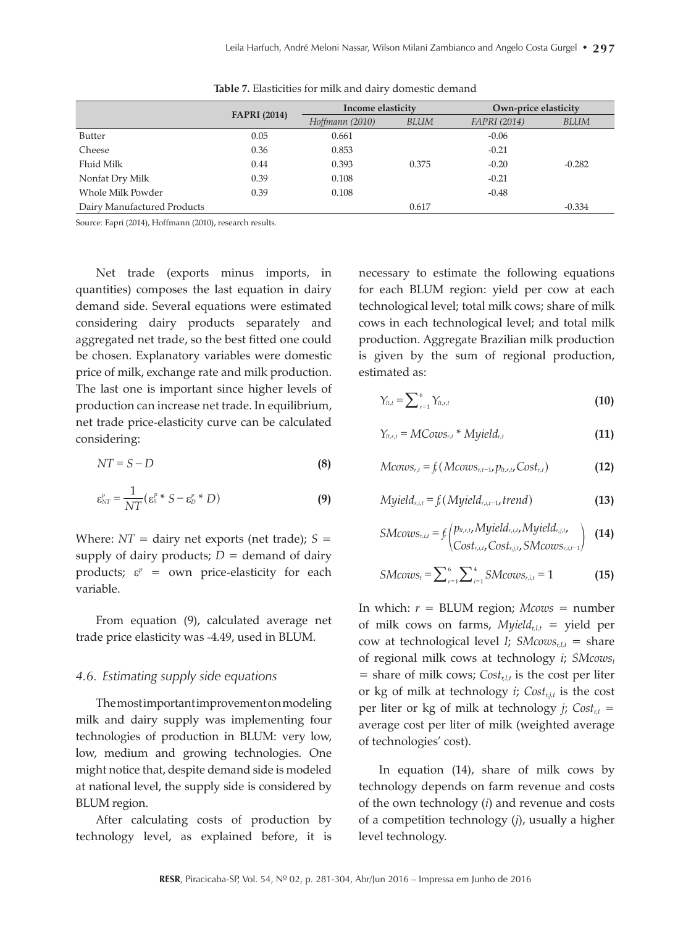|                             |                     | Income elasticity |       |              | Own-price elasticity |  |
|-----------------------------|---------------------|-------------------|-------|--------------|----------------------|--|
|                             | <b>FAPRI</b> (2014) | Hoffmann (2010)   | BLUM  | FAPRI (2014) | BLUM                 |  |
| Butter                      | 0.05                | 0.661             |       | $-0.06$      |                      |  |
| Cheese                      | 0.36                | 0.853             |       | $-0.21$      |                      |  |
| Fluid Milk                  | 0.44                | 0.393             | 0.375 | $-0.20$      | $-0.282$             |  |
| Nonfat Dry Milk             | 0.39                | 0.108             |       | $-0.21$      |                      |  |
| Whole Milk Powder           | 0.39                | 0.108             |       | $-0.48$      |                      |  |
| Dairy Manufactured Products |                     |                   | 0.617 |              | $-0.334$             |  |

**Table 7.** Elasticities for milk and dairy domestic demand

Source: Fapri (2014), Hoffmann (2010), research results.

Net trade (exports minus imports, in quantities) composes the last equation in dairy demand side. Several equations were estimated considering dairy products separately and aggregated net trade, so the best fitted one could be chosen. Explanatory variables were domestic price of milk, exchange rate and milk production. The last one is important since higher levels of production can increase net trade. In equilibrium, net trade price-elasticity curve can be calculated considering:

$$
NT = S - D \tag{8}
$$

$$
\varepsilon_{NT}^p = \frac{1}{NT} (\varepsilon_S^p * S - \varepsilon_D^p * D)
$$
 (9)

Where:  $NT =$  dairy net exports (net trade);  $S =$ supply of dairy products;  $D =$  demand of dairy products;  $\varepsilon^p$  = own price-elasticity for each variable.

From equation (9), calculated average net trade price elasticity was -4.49, used in BLUM.

#### *4.6. Estimating supply side equations*

The most important improvement on modeling milk and dairy supply was implementing four technologies of production in BLUM: very low, low, medium and growing technologies. One might notice that, despite demand side is modeled at national level, the supply side is considered by BLUM region.

After calculating costs of production by technology level, as explained before, it is necessary to estimate the following equations for each BLUM region: yield per cow at each technological level; total milk cows; share of milk cows in each technological level; and total milk production. Aggregate Brazilian milk production is given by the sum of regional production, estimated as:

$$
\gamma_{t,t} = \sum_{r=1}^{6} \gamma_{t,t,t} \tag{10}
$$

$$
\gamma_{t,r,t} = MCows_{r,t} * Myield_{r,t}
$$
 (11)

$$
Mcovs_{r,t} = f_r(Mcovs_{r,t-1}, p_{lt,r,t}, Cost_{r,t})
$$
 (12)

$$
Myield_{r,i,t} = f_r \left( Myield_{r,i,t-1}, trend \right) \tag{13}
$$

$$
SMcows_{r,i,t} = f_r \begin{pmatrix} p_{lt,r,t}, Myield_{r,i,t}, Myield_{r,j,t}, \\ Cost_{r,j,t}, SMcows_{r,i,t-1} \end{pmatrix}
$$
 (14)

$$
SMcows_t = \sum_{r=1}^{6} \sum_{i=1}^{4} SMcows_{r,i,t} = 1
$$
 (15)

In which:  $r = BLUM$  region;  $Mcovs = number$ of milk cows on farms,  $M$ *yield<sub>r,It</sub>* = yield per cow at technological level *I*; *SMcows*<sub>r,*I*,*t*</sub> = share of regional milk cows at technology *i*; *SMcows*<sup>*t*</sup>  $=$  share of milk cows;  $Cost_{r}$  is the cost per liter or kg of milk at technology *i*; *Cost<sub>rit</sub>* is the cost per liter or kg of milk at technology *j*;  $Cost_{rt}$  = average cost per liter of milk (weighted average of technologies' cost).

In equation (14), share of milk cows by technology depends on farm revenue and costs of the own technology (*i*) and revenue and costs of a competition technology (*j*), usually a higher level technology.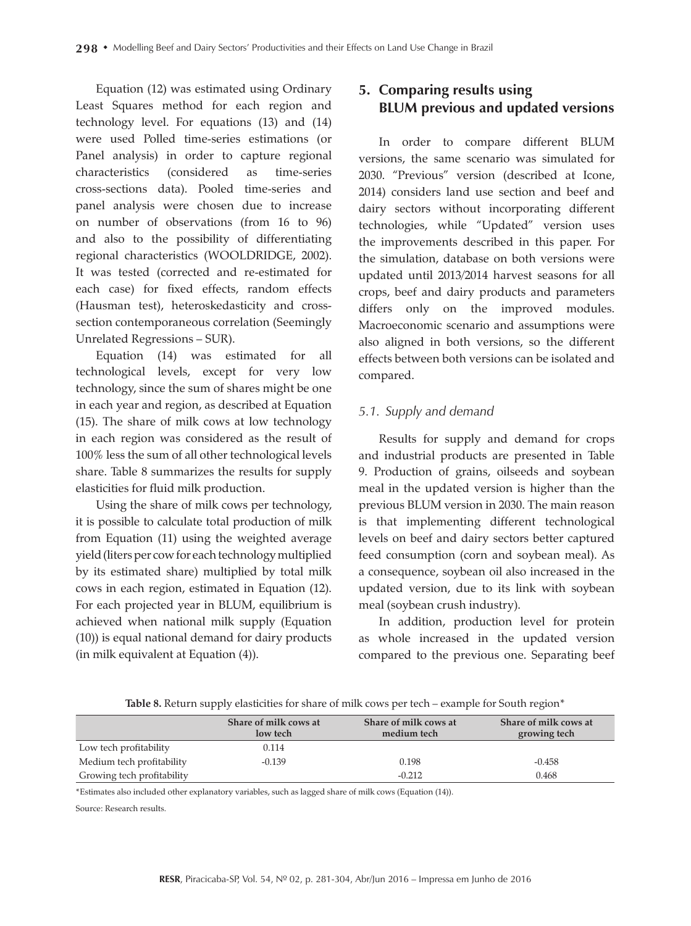Equation (12) was estimated using Ordinary Least Squares method for each region and technology level. For equations (13) and (14) were used Polled time-series estimations (or Panel analysis) in order to capture regional characteristics (considered as time-series cross-sections data). Pooled time-series and panel analysis were chosen due to increase on number of observations (from 16 to 96) and also to the possibility of differentiating regional characteristics (WOOLDRIDGE, 2002). It was tested (corrected and re-estimated for each case) for fixed effects, random effects (Hausman test), heteroskedasticity and crosssection contemporaneous correlation (Seemingly Unrelated Regressions – SUR).

Equation (14) was estimated for all technological levels, except for very low technology, since the sum of shares might be one in each year and region, as described at Equation (15). The share of milk cows at low technology in each region was considered as the result of 100% less the sum of all other technological levels share. Table 8 summarizes the results for supply elasticities for fluid milk production.

Using the share of milk cows per technology, it is possible to calculate total production of milk from Equation (11) using the weighted average yield (liters per cow for each technology multiplied by its estimated share) multiplied by total milk cows in each region, estimated in Equation (12). For each projected year in BLUM, equilibrium is achieved when national milk supply (Equation (10)) is equal national demand for dairy products (in milk equivalent at Equation (4)).

# **5. Comparing results using BLUM previous and updated versions**

In order to compare different BLUM versions, the same scenario was simulated for 2030. "Previous" version (described at Icone, 2014) considers land use section and beef and dairy sectors without incorporating different technologies, while "Updated" version uses the improvements described in this paper. For the simulation, database on both versions were updated until 2013/2014 harvest seasons for all crops, beef and dairy products and parameters differs only on the improved modules. Macroeconomic scenario and assumptions were also aligned in both versions, so the different effects between both versions can be isolated and compared.

### *5.1. Supply and demand*

Results for supply and demand for crops and industrial products are presented in Table 9. Production of grains, oilseeds and soybean meal in the updated version is higher than the previous BLUM version in 2030. The main reason is that implementing different technological levels on beef and dairy sectors better captured feed consumption (corn and soybean meal). As a consequence, soybean oil also increased in the updated version, due to its link with soybean meal (soybean crush industry).

In addition, production level for protein as whole increased in the updated version compared to the previous one. Separating beef

Table 8. Return supply elasticities for share of milk cows per tech – example for South region<sup>\*</sup>

|                            | Share of milk cows at<br>low tech | Share of milk cows at<br>medium tech | Share of milk cows at<br>growing tech |
|----------------------------|-----------------------------------|--------------------------------------|---------------------------------------|
| Low tech profitability     | 0.114                             |                                      |                                       |
| Medium tech profitability  | $-0.139$                          | 0.198                                | $-0.458$                              |
| Growing tech profitability |                                   | $-0.212$                             | 0.468                                 |

\*Estimates also included other explanatory variables, such as lagged share of milk cows (Equation (14)).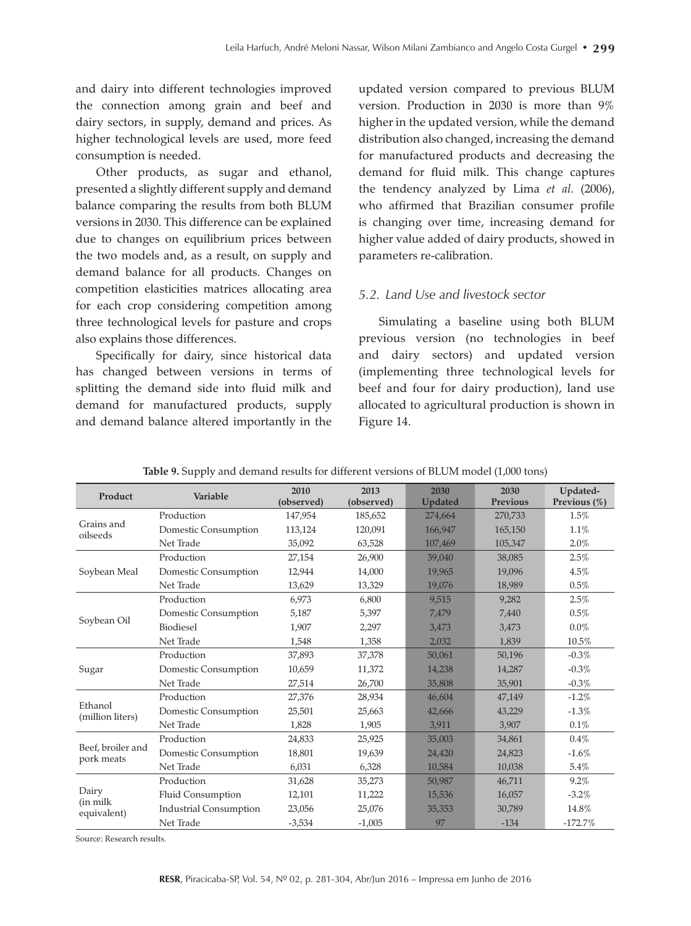and dairy into different technologies improved the connection among grain and beef and dairy sectors, in supply, demand and prices. As higher technological levels are used, more feed consumption is needed.

Other products, as sugar and ethanol, presented a slightly different supply and demand balance comparing the results from both BLUM versions in 2030. This difference can be explained due to changes on equilibrium prices between the two models and, as a result, on supply and demand balance for all products. Changes on competition elasticities matrices allocating area for each crop considering competition among three technological levels for pasture and crops also explains those differences.

Specifically for dairy, since historical data has changed between versions in terms of splitting the demand side into fluid milk and demand for manufactured products, supply and demand balance altered importantly in the

updated version compared to previous BLUM version. Production in 2030 is more than 9% higher in the updated version, while the demand distribution also changed, increasing the demand for manufactured products and decreasing the demand for fluid milk. This change captures the tendency analyzed by Lima *et al*. (2006), who affirmed that Brazilian consumer profile is changing over time, increasing demand for higher value added of dairy products, showed in parameters re-calibration.

### *5.2. Land Use and livestock sector*

Simulating a baseline using both BLUM previous version (no technologies in beef and dairy sectors) and updated version (implementing three technological levels for beef and four for dairy production), land use allocated to agricultural production is shown in Figure 14.

| Product                  | Variable                      | 2010<br>(observed) | 2013<br>(observed) | 2030<br><b>Updated</b> | 2030<br><b>Previous</b> | Updated-<br>Previous (%) |
|--------------------------|-------------------------------|--------------------|--------------------|------------------------|-------------------------|--------------------------|
|                          | Production                    | 147,954            | 185,652            | 274,664                | 270,733                 | 1.5%                     |
| Grains and<br>oilseeds   | Domestic Consumption          | 113,124            | 120,091            | 166,947                | 165,150                 | 1.1%                     |
|                          | Net Trade                     | 35,092             | 63,528             | 107,469                | 105,347                 | 2.0%                     |
|                          | Production                    | 27,154             | 26,900             | 39,040                 | 38,085                  | 2.5%                     |
| Soybean Meal             | Domestic Consumption          | 12,944             | 14,000             | 19,965                 | 19,096                  | 4.5%                     |
|                          | Net Trade                     | 13,629             | 13,329             | 19,076                 | 18,989                  | 0.5%                     |
|                          | Production                    | 6,973              | 6,800              | 9,515                  | 9,282                   | 2.5%                     |
| Soybean Oil              | Domestic Consumption          | 5,187              | 5,397              | 7,479                  | 7,440                   | 0.5%                     |
|                          | <b>Biodiesel</b>              | 1,907              | 2,297              | 3,473                  | 3,473                   | $0.0\%$                  |
|                          | Net Trade                     | 1,548              | 1,358              | 2,032                  | 1,839                   | 10.5%                    |
|                          | Production                    | 37,893             | 37,378             | 50,061                 | 50,196                  | $-0.3\%$                 |
| Sugar                    | Domestic Consumption          | 10,659             | 11,372             | 14,238                 | 14,287                  | $-0.3\%$                 |
|                          | Net Trade                     | 27,514             | 26,700             | 35,808                 | 35,901                  | $-0.3\%$                 |
| Ethanol                  | Production                    | 27,376             | 28,934             | 46,604                 | 47,149                  | $-1.2%$                  |
| (million liters)         | Domestic Consumption          | 25,501             | 25,663             | 42,666                 | 43,229                  | $-1.3%$                  |
|                          | Net Trade                     | 1,828              | 1,905              | 3,911                  | 3,907                   | 0.1%                     |
| Beef, broiler and        | Production                    | 24,833             | 25,925             | 35,003                 | 34,861                  | 0.4%                     |
| pork meats               | Domestic Consumption          | 18,801             | 19,639             | 24,420                 | 24,823                  | $-1.6%$                  |
|                          | Net Trade                     | 6,031              | 6,328              | 10,584                 | 10,038                  | 5.4%                     |
|                          | Production                    | 31,628             | 35,273             | 50,987                 | 46,711                  | 9.2%                     |
| Dairy                    | Fluid Consumption             | 12,101             | 11,222             | 15,536                 | 16,057                  | $-3.2%$                  |
| (in milk)<br>equivalent) | <b>Industrial Consumption</b> | 23,056             | 25,076             | 35,353                 | 30,789                  | 14.8%                    |
|                          | Net Trade                     | $-3,534$           | $-1,005$           | 97                     | $-134$                  | $-172.7%$                |

**Table 9.** Supply and demand results for different versions of BLUM model (1,000 tons)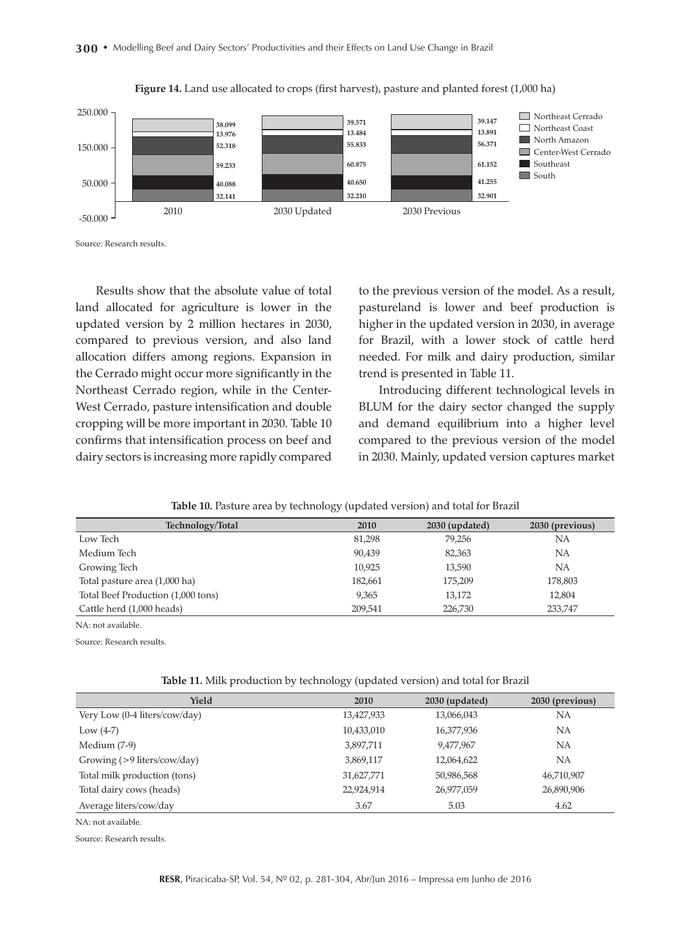300 • Modelling Beef and Dairy Sectors' Productivities and their Effects on Land Use Change in Brazil



**Figure 14.** Land use allocated to crops (first harvest), pasture and planted forest (1,000 ha)

Results show that the absolute value of total land allocated for agriculture is lower in the updated version by 2 million hectares in 2030, compared to previous version, and also land allocation differs among regions. Expansion in the Cerrado might occur more significantly in the Northeast Cerrado region, while in the Center-West Cerrado, pasture intensification and double cropping will be more important in 2030. Table 10 confirms that intensification process on beef and dairy sectors is increasing more rapidly compared to the previous version of the model. As a result, pastureland is lower and beef production is higher in the updated version in 2030, in average for Brazil, with a lower stock of cattle herd needed. For milk and dairy production, similar trend is presented in Table 11.

Introducing different technological levels in BLUM for the dairy sector changed the supply and demand equilibrium into a higher level compared to the previous version of the model in 2030. Mainly, updated version captures market

| Technology/Total                   | 2010    | 2030 (updated) | 2030 (previous) |
|------------------------------------|---------|----------------|-----------------|
| Low Tech                           | 81,298  | 79.256         | NΑ              |
| Medium Tech                        | 90.439  | 82,363         | NA              |
| Growing Tech                       | 10.925  | 13,590         | NΑ              |
| Total pasture area (1,000 ha)      | 182,661 | 175,209        | 178,803         |
| Total Beef Production (1,000 tons) | 9,365   | 13,172         | 12,804          |
| Cattle herd (1,000 heads)          | 209,541 | 226,730        | 233,747         |

**Table 10.** Pasture area by technology (updated version) and total for Brazil

NA: not available.

Source: Research results.

| <b>Table 11.</b> Milk production by technology (updated version) and total for Brazil |  |  |  |  |  |
|---------------------------------------------------------------------------------------|--|--|--|--|--|
|---------------------------------------------------------------------------------------|--|--|--|--|--|

| Yield                         | 2010       | 2030 (updated) | 2030 (previous) |
|-------------------------------|------------|----------------|-----------------|
| Very Low (0-4 liters/cow/day) | 13,427,933 | 13,066,043     | NA              |
| Low $(4-7)$                   | 10,433,010 | 16,377,936     | NA              |
| Medium (7-9)                  | 3,897,711  | 9,477,967      | NA              |
| Growing $(>9$ liters/cow/day) | 3,869,117  | 12,064,622     | NA              |
| Total milk production (tons)  | 31,627,771 | 50,986,568     | 46,710,907      |
| Total dairy cows (heads)      | 22,924,914 | 26,977,059     | 26,890,906      |
| Average liters/cow/day        | 3.67       | 5.03           | 4.62            |
|                               |            |                |                 |

NA: not available.

Source: Research results.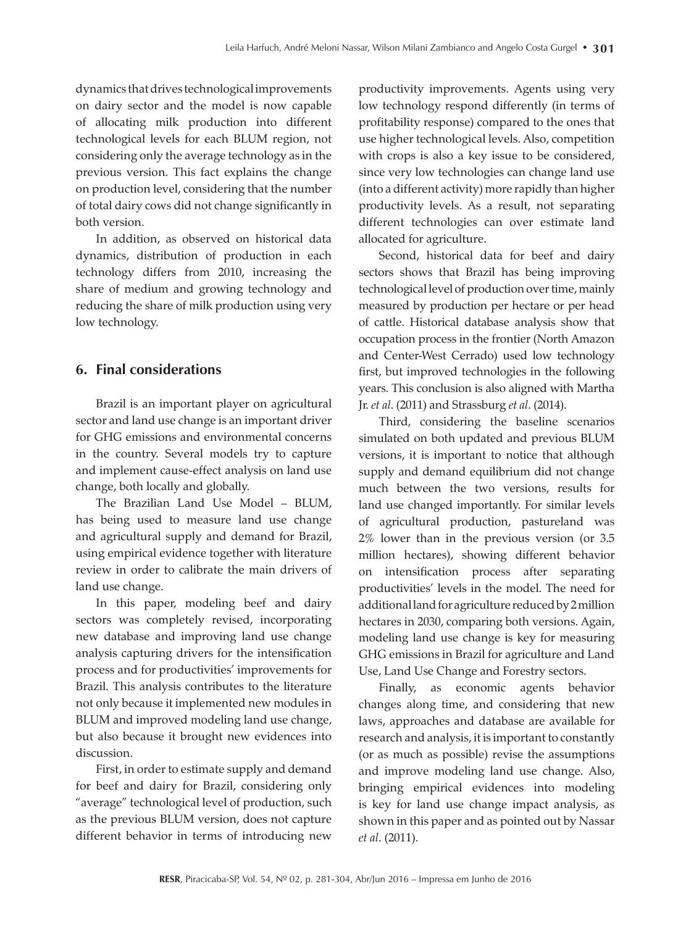dynamics that drives technological improvements on dairy sector and the model is now capable of allocating milk production into different technological levels for each BLUM region, not considering only the average technology as in the previous version. This fact explains the change on production level, considering that the number of total dairy cows did not change significantly in both version.

In addition, as observed on historical data dynamics, distribution of production in each technology differs from 2010, increasing the share of medium and growing technology and reducing the share of milk production using very low technology.

## **6. Final considerations**

Brazil is an important player on agricultural sector and land use change is an important driver for GHG emissions and environmental concerns in the country. Several models try to capture and implement cause-effect analysis on land use change, both locally and globally.

The Brazilian Land Use Model – BLUM, has being used to measure land use change and agricultural supply and demand for Brazil, using empirical evidence together with literature review in order to calibrate the main drivers of land use change.

In this paper, modeling beef and dairy sectors was completely revised, incorporating new database and improving land use change analysis capturing drivers for the intensification process and for productivities' improvements for Brazil. This analysis contributes to the literature not only because it implemented new modules in BLUM and improved modeling land use change, but also because it brought new evidences into discussion.

First, in order to estimate supply and demand for beef and dairy for Brazil, considering only "average" technological level of production, such as the previous BLUM version, does not capture different behavior in terms of introducing new

productivity improvements. Agents using very low technology respond differently (in terms of profitability response) compared to the ones that use higher technological levels. Also, competition with crops is also a key issue to be considered, since very low technologies can change land use (into a different activity) more rapidly than higher productivity levels. As a result, not separating different technologies can over estimate land allocated for agriculture.

Second, historical data for beef and dairy sectors shows that Brazil has being improving technological level of production over time, mainly measured by production per hectare or per head of cattle. Historical database analysis show that occupation process in the frontier (North Amazon and Center-West Cerrado) used low technology first, but improved technologies in the following years. This conclusion is also aligned with Martha Jr. *et al*. (2011) and Strassburg *et al*. (2014).

Third, considering the baseline scenarios simulated on both updated and previous BLUM versions, it is important to notice that although supply and demand equilibrium did not change much between the two versions, results for land use changed importantly. For similar levels of agricultural production, pastureland was 2% lower than in the previous version (or 3.5 million hectares), showing different behavior on intensification process after separating productivities' levels in the model. The need for additional land for agriculture reduced by 2 million hectares in 2030, comparing both versions. Again, modeling land use change is key for measuring GHG emissions in Brazil for agriculture and Land Use, Land Use Change and Forestry sectors.

Finally, as economic agents behavior changes along time, and considering that new laws, approaches and database are available for research and analysis, it is important to constantly (or as much as possible) revise the assumptions and improve modeling land use change. Also, bringing empirical evidences into modeling is key for land use change impact analysis, as shown in this paper and as pointed out by Nassar *et al*. (2011).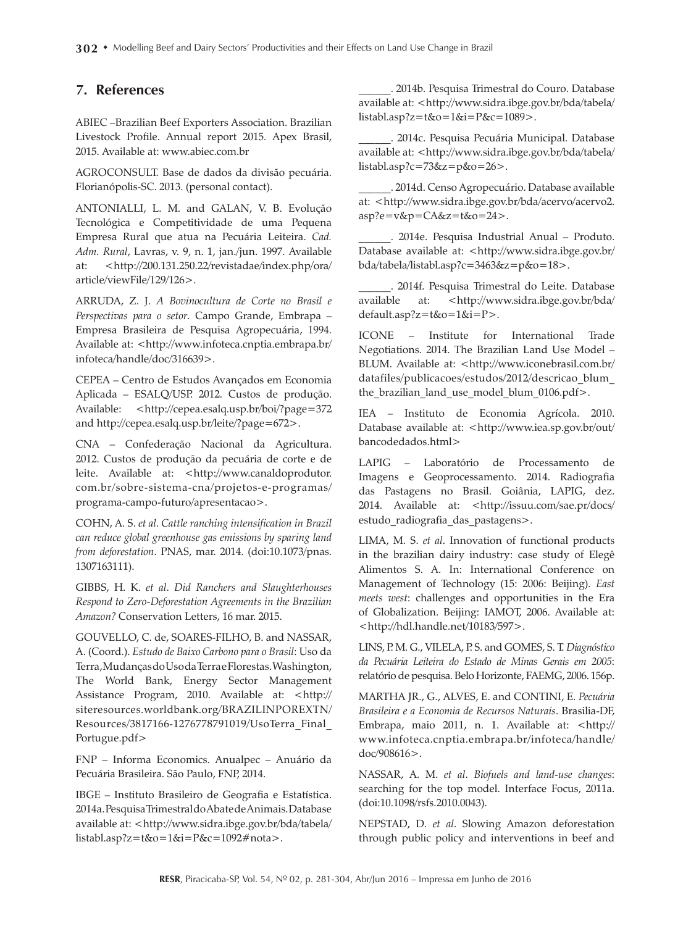### **7. References**

ABIEC –Brazilian Beef Exporters Association. Brazilian Livestock Profile. Annual report 2015. Apex Brasil, 2015. Available at: www.abiec.com.br

AGROCONSULT. Base de dados da divisão pecuária. Florianópolis-SC. 2013. (personal contact).

ANTONIALLI, L. M. and GALAN, V. B. Evolução Tecnológica e Competitividade de uma Pequena Empresa Rural que atua na Pecuária Leiteira. *Cad. Adm. Rural*, Lavras, v. 9, n. 1, jan./jun. 1997. Available at: <http://200.131.250.22/revistadae/index.php/ora/ article/viewFile/129/126>.

ARRUDA, Z. J. *A Bovinocultura de Corte no Brasil e Perspectivas para o setor*. Campo Grande, Embrapa – Empresa Brasileira de Pesquisa Agropecuária, 1994. Available at: <http://www.infoteca.cnptia.embrapa.br/ infoteca/handle/doc/316639>.

CEPEA – Centro de Estudos Avançados em Economia Aplicada – ESALQ/USP. 2012. Custos de produção. Available: <http://cepea.esalq.usp.br/boi/?page=372 and http://cepea.esalq.usp.br/leite/?page=672>.

CNA – Confederação Nacional da Agricultura. 2012. Custos de produção da pecuária de corte e de leite. Available at: <http://www.canaldoprodutor. com.br/sobre-sistema-cna/projetos-e-programas/ programa-campo-futuro/apresentacao>.

COHN, A. S. *et al*. *Cattle ranching intensification in Brazil can reduce global greenhouse gas emissions by sparing land from deforestation*. PNAS, mar. 2014. (doi:10.1073/pnas. 1307163111).

GIBBS, H. K. *et al*. *Did Ranchers and Slaughterhouses Respond to Zero-Deforestation Agreements in the Brazilian Amazon?* Conservation Letters, 16 mar. 2015.

GOUVELLO, C. de, SOARES-FILHO, B. and NASSAR, A. (Coord.). *Estudo de Baixo Carbono para o Brasil*: Uso da Terra, Mudanças do Uso da Terra e Florestas. Washington, The World Bank, Energy Sector Management Assistance Program, 2010. Available at: <http:// siteresources.worldbank.org/BRAZILINPOREXTN/ Resources/3817166-1276778791019/UsoTerra\_Final\_ Portugue.pdf>

FNP – Informa Economics. Anualpec – Anuário da Pecuária Brasileira. São Paulo, FNP, 2014.

IBGE – Instituto Brasileiro de Geografia e Estatística. 2014a. Pesquisa Trimestral do Abate de Animais. Database available at: <http://www.sidra.ibge.gov.br/bda/tabela/ listabl.asp?z=t&o=1&i=P&c=1092#nota>.

\_\_\_\_\_\_. 2014b. Pesquisa Trimestral do Couro. Database available at: <http://www.sidra.ibge.gov.br/bda/tabela/ listabl.asp?z=t&o=1&i=P&c=1089>.

\_\_\_\_\_\_. 2014c. Pesquisa Pecuária Municipal. Database available at: <http://www.sidra.ibge.gov.br/bda/tabela/ listabl.asp?c=73&z=p&o=26>.

\_\_\_\_\_\_. 2014d. Censo Agropecuário. Database available at: <http://www.sidra.ibge.gov.br/bda/acervo/acervo2. asp?e=v&p=CA&z=t&o=24>.

\_\_\_\_\_\_. 2014e. Pesquisa Industrial Anual – Produto. Database available at: <http://www.sidra.ibge.gov.br/ bda/tabela/listabl.asp?c=3463&z=p&o=18>.

\_\_\_\_\_\_. 2014f. Pesquisa Trimestral do Leite. Database available at: <http://www.sidra.ibge.gov.br/bda/ default.asp?z=t&o=1&i=P>.

ICONE – Institute for International Trade Negotiations. 2014. The Brazilian Land Use Model – BLUM. Available at: <http://www.iconebrasil.com.br/ datafiles/publicacoes/estudos/2012/descricao\_blum\_ the\_brazilian\_land\_use\_model\_blum\_0106.pdf>.

IEA – Instituto de Economia Agrícola. 2010. Database available at: <http://www.iea.sp.gov.br/out/ bancodedados.html>

LAPIG – Laboratório de Processamento de Imagens e Geoprocessamento. 2014. Radiografia das Pastagens no Brasil. Goiânia, LAPIG, dez. 2014. Available at: <http://issuu.com/sae.pr/docs/ estudo radiografia das pastagens>.

LIMA, M. S. *et al*. Innovation of functional products in the brazilian dairy industry: case study of Elegê Alimentos S. A. In: International Conference on Management of Technology (15: 2006: Beijing). *East meets west*: challenges and opportunities in the Era of Globalization. Beijing: IAMOT, 2006. Available at: <http://hdl.handle.net/10183/597>.

LINS, P. M. G., VILELA, P. S. and GOMES, S. T. *Diagnóstico da Pecuária Leiteira do Estado de Minas Gerais em 2005*: relatório de pesquisa. Belo Horizonte, FAEMG, 2006. 156p.

MARTHA JR., G., ALVES, E. and CONTINI, E. *Pecuária Brasileira e a Economia de Recursos Naturais*. Brasilia-DF, Embrapa, maio 2011, n. 1. Available at: <http:// www.infoteca.cnptia.embrapa.br/infoteca/handle/ doc/908616>.

NASSAR, A. M. *et al*. *Biofuels and land-use changes*: searching for the top model. Interface Focus, 2011a. (doi:10.1098/rsfs.2010.0043).

NEPSTAD, D. *et al*. Slowing Amazon deforestation through public policy and interventions in beef and